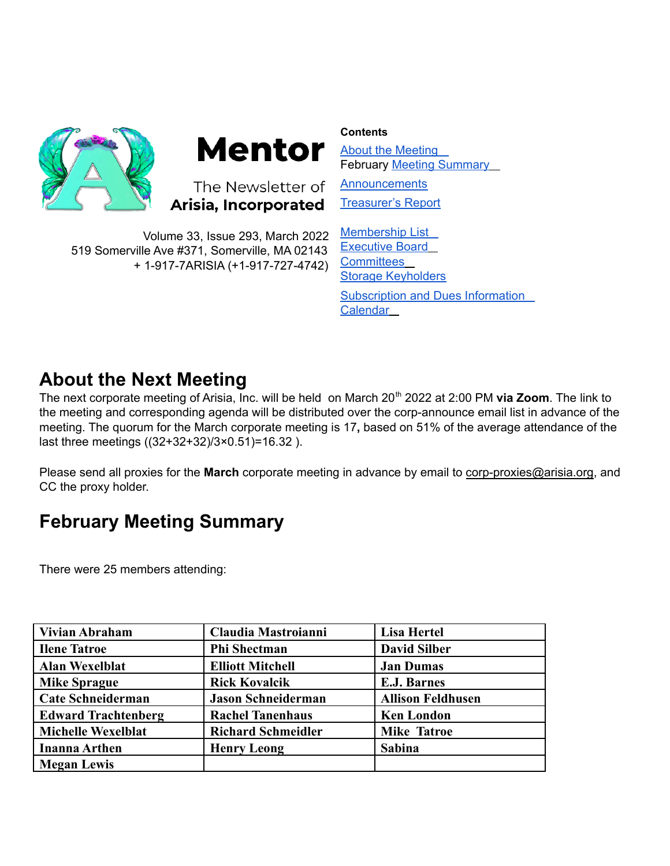

# **Mentor**

The Newsletter of Arisia, Incorporated

Volume 33, Issue 293, March 2022 519 Somerville Ave #371, Somerville, MA 02143 + 1-917-7ARISIA (+1-917-727-4742) **Contents**

About the [Meeting](https://docs.google.com/document/d/1q5WKe90oPINiFTULIm00x6CBrshRbl9t0ZvDwIIB7uU/edit#heading=h.89o3wbbu40rb) February Meeting [Summary](https://docs.google.com/document/d/1q5WKe90oPINiFTULIm00x6CBrshRbl9t0ZvDwIIB7uU/edit#heading=h.940r5td9n56a) **[Announcements](https://docs.google.com/document/d/1q5WKe90oPINiFTULIm00x6CBrshRbl9t0ZvDwIIB7uU/edit#heading=h.8pewzkmgsb2f)** 

[Treasurer's](https://docs.google.com/document/d/1q5WKe90oPINiFTULIm00x6CBrshRbl9t0ZvDwIIB7uU/edit#heading=h.6wxzu8ll5i0n) Report

[Membership](https://docs.google.com/document/d/1q5WKe90oPINiFTULIm00x6CBrshRbl9t0ZvDwIIB7uU/edit#heading=h.ss8x9sp8u4bz) List [Executive](https://docs.google.com/document/d/1q5WKe90oPINiFTULIm00x6CBrshRbl9t0ZvDwIIB7uU/edit#heading=h.dy41mt2pwsf9) Board **[Committees](https://docs.google.com/document/d/1q5WKe90oPINiFTULIm00x6CBrshRbl9t0ZvDwIIB7uU/edit#heading=h.3pb7gvjmcz9b)** Storage [Keyholders](https://docs.google.com/document/d/1q5WKe90oPINiFTULIm00x6CBrshRbl9t0ZvDwIIB7uU/edit#heading=h.syo9cx7op2mz) [Subscription](https://docs.google.com/document/d/1q5WKe90oPINiFTULIm00x6CBrshRbl9t0ZvDwIIB7uU/edit#heading=h.p5ttre4q7xep) and Dues Information **[Calendar](https://docs.google.com/document/d/1q5WKe90oPINiFTULIm00x6CBrshRbl9t0ZvDwIIB7uU/edit#heading=h.xdr0t43uitoo)** 

# **About the Next Meeting**

The next corporate meeting of Arisia, Inc. will be held on March 20 th 2022 at 2:00 PM **via Zoom**. The link to the meeting and corresponding agenda will be distributed over the corp-announce email list in advance of the meeting. The quorum for the March corporate meeting is 17**,** based on 51% of the average attendance of the last three meetings ((32+32+32)/3×0.51)=16.32 ).

Please send all proxies for the **March** corporate meeting in advance by email to [corp-proxies@arisia.org,](mailto:corp-proxies@arisia.org) and CC the proxy holder.

# **February Meeting Summary**

There were 25 members attending:

| <b>Vivian Abraham</b>      | Claudia Mastroianni       | <b>Lisa Hertel</b>       |
|----------------------------|---------------------------|--------------------------|
| <b>Ilene Tatroe</b>        | <b>Phi Shectman</b>       | <b>David Silber</b>      |
| <b>Alan Wexelblat</b>      | <b>Elliott Mitchell</b>   | <b>Jan Dumas</b>         |
| <b>Mike Sprague</b>        | <b>Rick Kovalcik</b>      | <b>E.J. Barnes</b>       |
| <b>Cate Schneiderman</b>   | <b>Jason Schneiderman</b> | <b>Allison Feldhusen</b> |
| <b>Edward Trachtenberg</b> | <b>Rachel Tanenhaus</b>   | <b>Ken London</b>        |
| <b>Michelle Wexelblat</b>  | <b>Richard Schmeidler</b> | <b>Mike Tatroe</b>       |
| <b>Inanna Arthen</b>       | <b>Henry Leong</b>        | <b>Sabina</b>            |
| <b>Megan Lewis</b>         |                           |                          |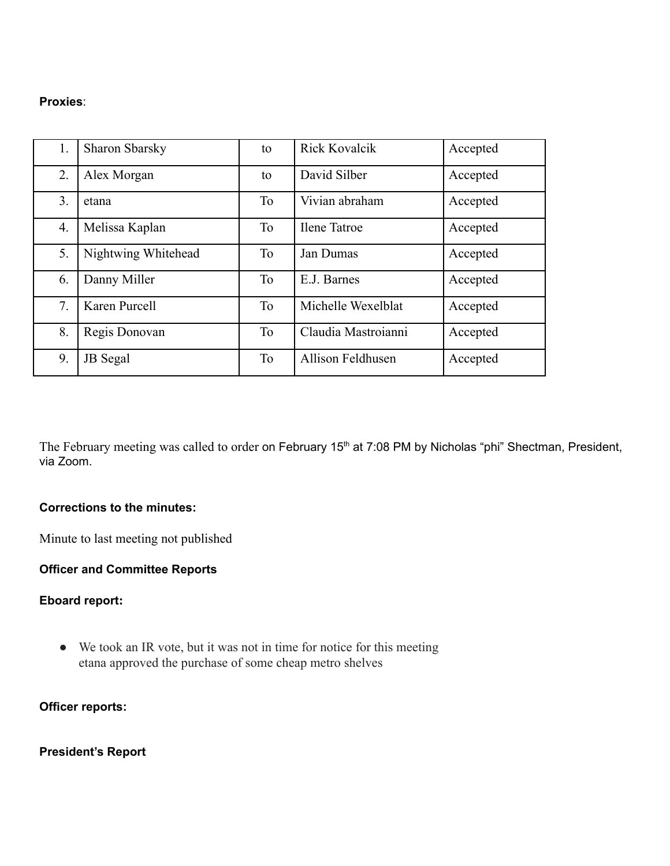### **Proxies**:

| 1. | <b>Sharon Sbarsky</b> | to        | <b>Rick Kovalcik</b> | Accepted |
|----|-----------------------|-----------|----------------------|----------|
| 2. | Alex Morgan           | to        | David Silber         | Accepted |
| 3. | etana                 | To        | Vivian abraham       | Accepted |
| 4. | Melissa Kaplan        | To        | <b>Ilene Tatroe</b>  | Accepted |
| 5. | Nightwing Whitehead   | <b>To</b> | Jan Dumas            | Accepted |
| 6. | Danny Miller          | <b>To</b> | E.J. Barnes          | Accepted |
| 7. | Karen Purcell         | To        | Michelle Wexelblat   | Accepted |
| 8. | Regis Donovan         | <b>To</b> | Claudia Mastroianni  | Accepted |
| 9. | <b>JB</b> Segal       | To        | Allison Feldhusen    | Accepted |

The February meeting was called to order on February 15<sup>th</sup> at 7:08 PM by Nicholas "phi" Shectman, President, via Zoom.

# **Corrections to the minutes:**

Minute to last meeting not published

### **Officer and Committee Reports**

### **Eboard report:**

● We took an IR vote, but it was not in time for notice for this meeting etana approved the purchase of some cheap metro shelves

**Officer reports:**

**President's Report**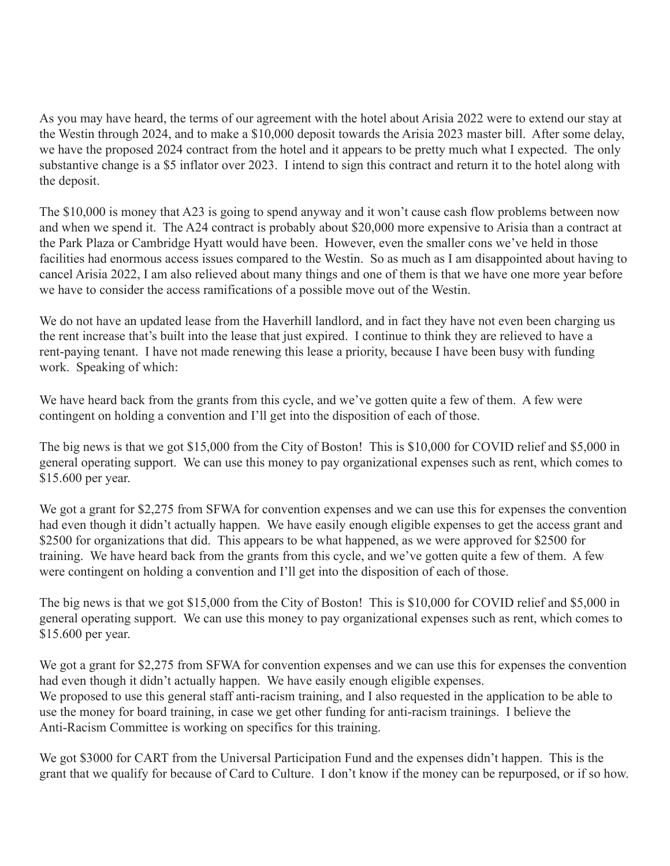As you may have heard, the terms of our agreement with the hotel about Arisia 2022 were to extend our stay at the Westin through 2024, and to make a \$10,000 deposit towards the Arisia 2023 master bill. After some delay, we have the proposed 2024 contract from the hotel and it appears to be pretty much what I expected. The only substantive change is a \$5 inflator over 2023. I intend to sign this contract and return it to the hotel along with the deposit.

The \$10,000 is money that A23 is going to spend anyway and it won't cause cash flow problems between now and when we spend it. The A24 contract is probably about \$20,000 more expensive to Arisia than a contract at the Park Plaza or Cambridge Hyatt would have been. However, even the smaller cons we've held in those facilities had enormous access issues compared to the Westin. So as much as I am disappointed about having to cancel Arisia 2022, I am also relieved about many things and one of them is that we have one more year before we have to consider the access ramifications of a possible move out of the Westin.

We do not have an updated lease from the Haverhill landlord, and in fact they have not even been charging us the rent increase that's built into the lease that just expired. I continue to think they are relieved to have a rent-paying tenant. I have not made renewing this lease a priority, because I have been busy with funding work. Speaking of which:

We have heard back from the grants from this cycle, and we've gotten quite a few of them. A few were contingent on holding a convention and I'll get into the disposition of each of those.

The big news is that we got \$15,000 from the City of Boston! This is \$10,000 for COVID relief and \$5,000 in general operating support. We can use this money to pay organizational expenses such as rent, which comes to \$15.600 per year.

We got a grant for \$2,275 from SFWA for convention expenses and we can use this for expenses the convention had even though it didn't actually happen. We have easily enough eligible expenses to get the access grant and \$2500 for organizations that did. This appears to be what happened, as we were approved for \$2500 for training. We have heard back from the grants from this cycle, and we've gotten quite a few of them. A few were contingent on holding a convention and I'll get into the disposition of each of those.

The big news is that we got \$15,000 from the City of Boston! This is \$10,000 for COVID relief and \$5,000 in general operating support. We can use this money to pay organizational expenses such as rent, which comes to \$15.600 per year.

We got a grant for \$2,275 from SFWA for convention expenses and we can use this for expenses the convention had even though it didn't actually happen. We have easily enough eligible expenses. We proposed to use this general staff anti-racism training, and I also requested in the application to be able to use the money for board training, in case we get other funding for anti-racism trainings. I believe the Anti-Racism Committee is working on specifics for this training.

We got \$3000 for CART from the Universal Participation Fund and the expenses didn't happen. This is the grant that we qualify for because of Card to Culture. I don't know if the money can be repurposed, or if so how.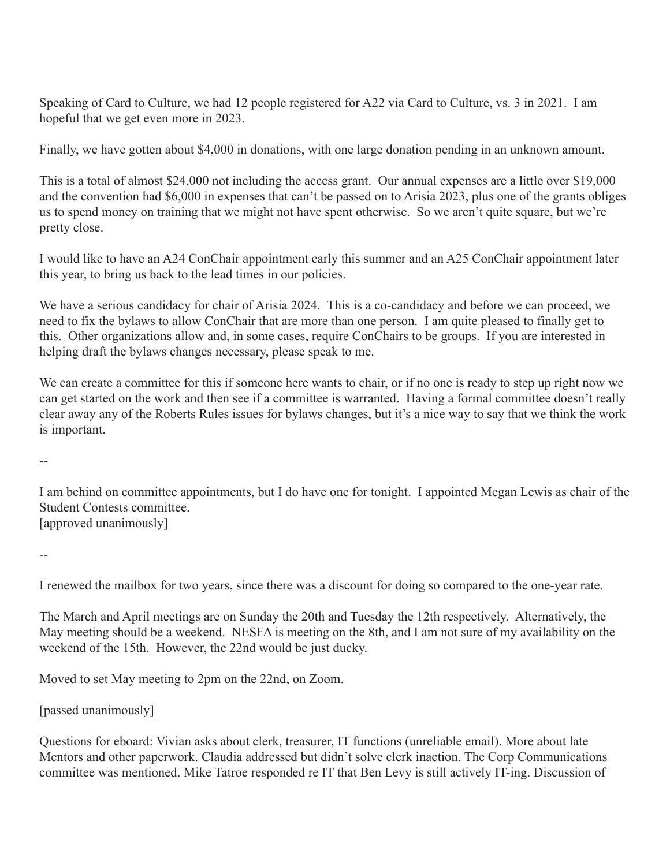Speaking of Card to Culture, we had 12 people registered for A22 via Card to Culture, vs. 3 in 2021. I am hopeful that we get even more in 2023.

Finally, we have gotten about \$4,000 in donations, with one large donation pending in an unknown amount.

This is a total of almost \$24,000 not including the access grant. Our annual expenses are a little over \$19,000 and the convention had \$6,000 in expenses that can't be passed on to Arisia 2023, plus one of the grants obliges us to spend money on training that we might not have spent otherwise. So we aren't quite square, but we're pretty close.

I would like to have an A24 ConChair appointment early this summer and an A25 ConChair appointment later this year, to bring us back to the lead times in our policies.

We have a serious candidacy for chair of Arisia 2024. This is a co-candidacy and before we can proceed, we need to fix the bylaws to allow ConChair that are more than one person. I am quite pleased to finally get to this. Other organizations allow and, in some cases, require ConChairs to be groups. If you are interested in helping draft the bylaws changes necessary, please speak to me.

We can create a committee for this if someone here wants to chair, or if no one is ready to step up right now we can get started on the work and then see if a committee is warranted. Having a formal committee doesn't really clear away any of the Roberts Rules issues for bylaws changes, but it's a nice way to say that we think the work is important.

--

I am behind on committee appointments, but I do have one for tonight. I appointed Megan Lewis as chair of the Student Contests committee. [approved unanimously]

--

I renewed the mailbox for two years, since there was a discount for doing so compared to the one-year rate.

The March and April meetings are on Sunday the 20th and Tuesday the 12th respectively. Alternatively, the May meeting should be a weekend. NESFA is meeting on the 8th, and I am not sure of my availability on the weekend of the 15th. However, the 22nd would be just ducky.

Moved to set May meeting to 2pm on the 22nd, on Zoom.

[passed unanimously]

Questions for eboard: Vivian asks about clerk, treasurer, IT functions (unreliable email). More about late Mentors and other paperwork. Claudia addressed but didn't solve clerk inaction. The Corp Communications committee was mentioned. Mike Tatroe responded re IT that Ben Levy is still actively IT-ing. Discussion of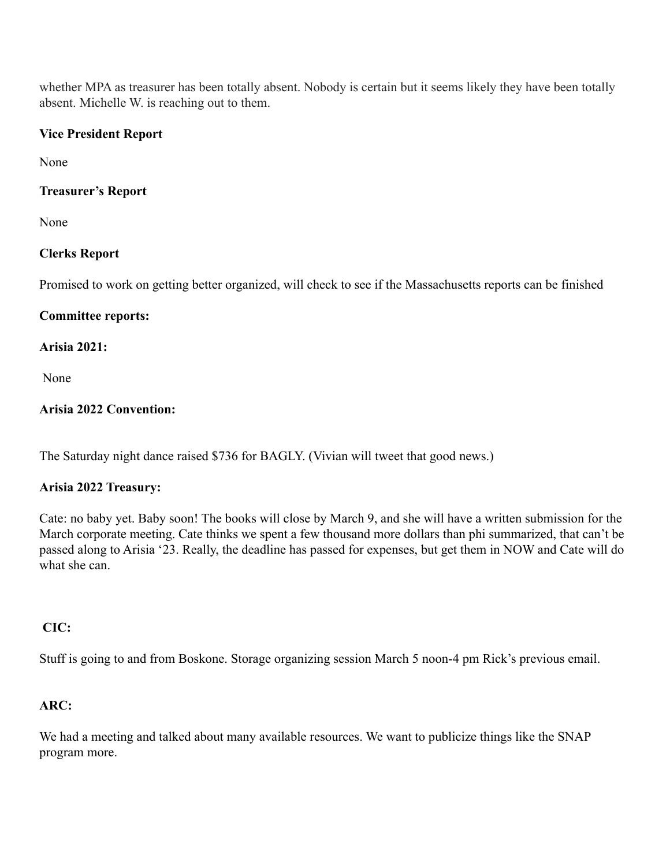whether MPA as treasurer has been totally absent. Nobody is certain but it seems likely they have been totally absent. Michelle W. is reaching out to them.

# **Vice President Report**

None

# **Treasurer's Report**

None

# **Clerks Report**

Promised to work on getting better organized, will check to see if the Massachusetts reports can be finished

# **Committee reports:**

# **Arisia 2021:**

None

# **Arisia 2022 Convention:**

The Saturday night dance raised \$736 for BAGLY. (Vivian will tweet that good news.)

# **Arisia 2022 Treasury:**

Cate: no baby yet. Baby soon! The books will close by March 9, and she will have a written submission for the March corporate meeting. Cate thinks we spent a few thousand more dollars than phi summarized, that can't be passed along to Arisia '23. Really, the deadline has passed for expenses, but get them in NOW and Cate will do what she can.

# **CIC:**

Stuff is going to and from Boskone. Storage organizing session March 5 noon-4 pm Rick's previous email.

# **ARC:**

We had a meeting and talked about many available resources. We want to publicize things like the SNAP program more.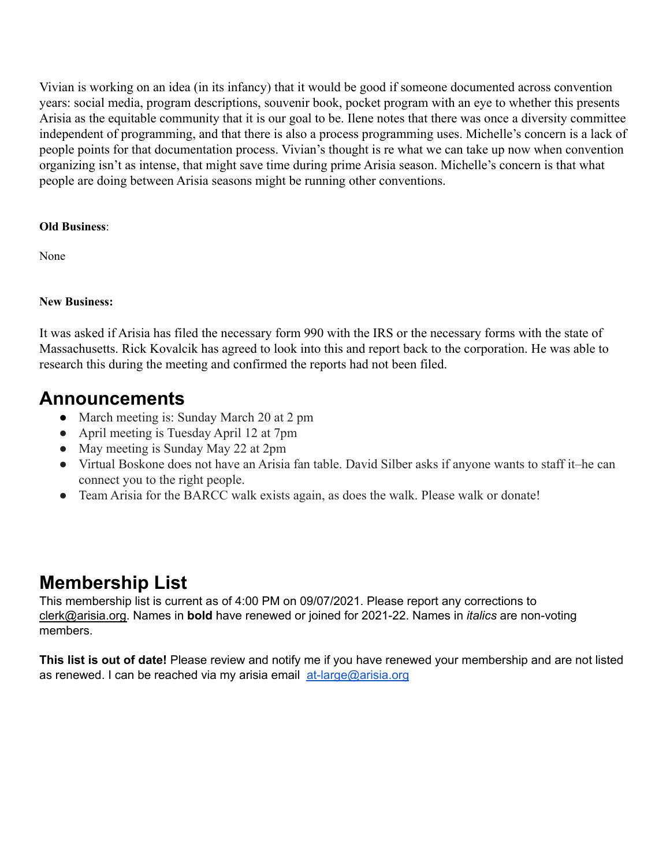Vivian is working on an idea (in its infancy) that it would be good if someone documented across convention years: social media, program descriptions, souvenir book, pocket program with an eye to whether this presents Arisia as the equitable community that it is our goal to be. Ilene notes that there was once a diversity committee independent of programming, and that there is also a process programming uses. Michelle's concern is a lack of people points for that documentation process. Vivian's thought is re what we can take up now when convention organizing isn't as intense, that might save time during prime Arisia season. Michelle's concern is that what people are doing between Arisia seasons might be running other conventions.

# **Old Business**:

None

# **New Business:**

It was asked if Arisia has filed the necessary form 990 with the IRS or the necessary forms with the state of Massachusetts. Rick Kovalcik has agreed to look into this and report back to the corporation. He was able to research this during the meeting and confirmed the reports had not been filed.

# **Announcements**

- March meeting is: Sunday March 20 at 2 pm
- April meeting is Tuesday April 12 at 7pm
- May meeting is Sunday May 22 at 2pm
- Virtual Boskone does not have an Arisia fan table. David Silber asks if anyone wants to staff it–he can connect you to the right people.
- Team Arisia for the BARCC walk exists again, as does the walk. Please walk or donate!

# **Membership List**

This membership list is current as of 4:00 PM on 09/07/2021. Please report any corrections to clerk@arisia.org. Names in **bold** have renewed or joined for 2021-22. Names in *italics* are non-voting members.

**This list is out of date!** Please review and notify me if you have renewed your membership and are not listed as renewed. I can be reached via my arisia email [at-large@arisia.org](mailto:at-large@arisia.org)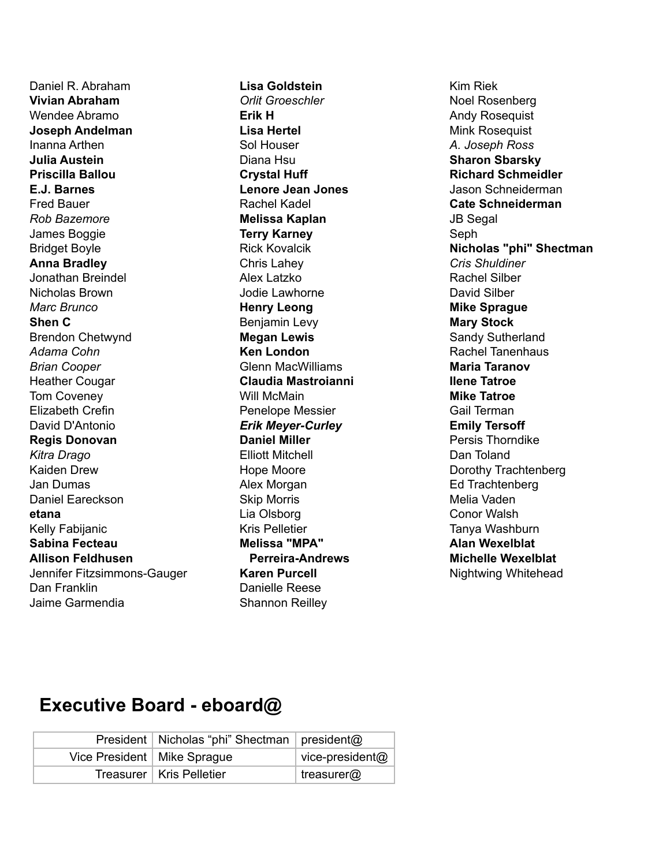Daniel R. Abraham **Vivian Abraham** Wendee Abramo **Joseph Andelman** Inanna Arthen **Julia Austein Priscilla Ballou E.J. Barnes** Fred Bauer *Rob Bazemore* James Boggie Bridget Boyle **Anna Bradley** Jonathan Breindel Nicholas Brown *Marc Brunco* **Shen C** Brendon Chetwynd *Adama Cohn Brian Cooper* Heather Cougar Tom Coveney Elizabeth Crefin David D'Antonio **Regis Donovan** *Kitra Drago* Kaiden Drew Jan Dumas Daniel Eareckson **etana** Kelly Fabijanic **Sabina Fecteau Allison Feldhusen** Jennifer Fitzsimmons-Gauger Dan Franklin Jaime Garmendia

**Lisa Goldstein** *Orlit Groeschler* **Erik H Lisa Hertel** Sol Houser Diana Hsu **Crystal Huff Lenore Jean Jones** Rachel Kadel **Melissa Kaplan Terry Karney** Rick Kovalcik Chris Lahey Alex Latzko Jodie Lawhorne **Henry Leong** Benjamin Levy **Megan Lewis Ken London** Glenn MacWilliams **Claudia Mastroianni** Will McMain Penelope Messier *Erik Meyer-Curley* **Daniel Miller** Elliott Mitchell Hope Moore Alex Morgan Skip Morris Lia Olsborg Kris Pelletier **Melissa "MPA" Perreira-Andrews Karen Purcell** Danielle Reese Shannon Reilley

Kim Riek Noel Rosenberg Andy Rosequist Mink Rosequist *A. Joseph Ross* **Sharon Sbarsky Richard Schmeidler** Jason Schneiderman **Cate Schneiderman** JB Segal Seph **Nicholas "phi" Shectman** *Cris Shuldiner* Rachel Silber David Silber **Mike Sprague Mary Stock** Sandy Sutherland Rachel Tanenhaus **Maria Taranov Ilene Tatroe Mike Tatroe** Gail Terman **Emily Tersoff** Persis Thorndike Dan Toland Dorothy Trachtenberg Ed Trachtenberg Melia Vaden Conor Walsh Tanya Washburn **Alan Wexelblat Michelle Wexelblat** Nightwing Whitehead

# **Executive Board - eboard@**

|                               | President   Nicholas "phi" Shectman   president@ |                 |
|-------------------------------|--------------------------------------------------|-----------------|
| Vice President   Mike Sprague |                                                  | vice-president@ |
|                               | Treasurer   Kris Pelletier                       | treasurer@      |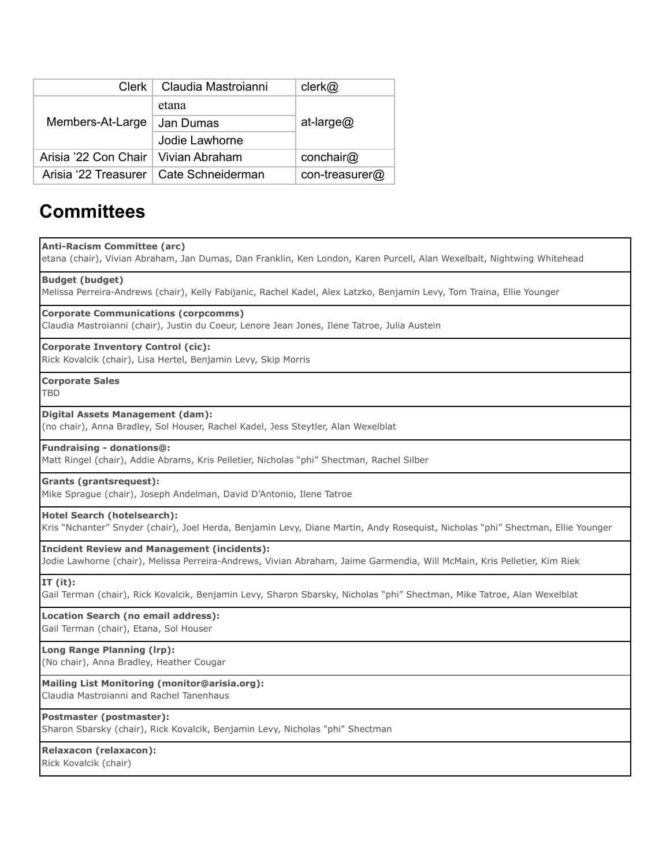|                                       | Clerk   Claudia Mastroianni              | clerk@         |  |
|---------------------------------------|------------------------------------------|----------------|--|
| Members-At-Large                      | etana                                    | at-large@      |  |
|                                       | Jan Dumas                                |                |  |
|                                       | Jodie Lawhorne                           |                |  |
| Arisia '22 Con Chair   Vivian Abraham |                                          | conchair@      |  |
|                                       | Arisia '22 Treasurer   Cate Schneiderman | con-treasurer@ |  |

# **Committees**

#### **Anti-Racism Committee (arc)**

etana (chair), Vivian Abraham, Jan Dumas, Dan Franklin, Ken London, Karen Purcell, Alan Wexelbalt, Nightwing Whitehead

#### **Budget (budget)**

Melissa Perreira-Andrews (chair), Kelly Fabijanic, Rachel Kadel, Alex Latzko, Benjamin Levy, Tom Traina, Ellie Younger

#### **Corporate Communications (corpcomms)**

Claudia Mastroianni (chair), Justin du Coeur, Lenore Jean Jones, Ilene Tatroe, Julia Austein

#### **Corporate Inventory Control (cic):**

Rick Kovalcik (chair), Lisa Hertel, Benjamin Levy, Skip Morris

**Corporate Sales** TBD

#### **Digital Assets Management (dam):**

(no chair), Anna Bradley, Sol Houser, Rachel Kadel, Jess Steytler, Alan Wexelblat

#### **Fundraising - donations@:**

Matt Ringel (chair), Addie Abrams, Kris Pelletier, Nicholas "phi" Shectman, Rachel Silber

#### **Grants (grantsrequest):**

Mike Sprague (chair), Joseph Andelman, David D'Antonio, Ilene Tatroe

#### **Hotel Search (hotelsearch):**

Kris "Nchanter" Snyder (chair), Joel Herda, Benjamin Levy, Diane Martin, Andy Rosequist, Nicholas "phi" Shectman, Ellie Younger

#### **Incident Review and Management (incidents):**

Jodie Lawhorne (chair), Melissa Perreira-Andrews, Vivian Abraham, Jaime Garmendia, Will McMain, Kris Pelletier, Kim Riek

#### **IT (it):**

Gail Terman (chair), Rick Kovalcik, Benjamin Levy, Sharon Sbarsky, Nicholas "phi" Shectman, Mike Tatroe, Alan Wexelblat

### **Location Search (no email address):**

Gail Terman (chair), Etana, Sol Houser

#### **Long Range Planning (lrp):**

(No chair), Anna Bradley, Heather Cougar

#### **Mailing List Monitoring (monitor@arisia.org):**

Claudia Mastroianni and Rachel Tanenhaus

#### **Postmaster (postmaster):**

Sharon Sbarsky (chair), Rick Kovalcik, Benjamin Levy, Nicholas "phi" Shectman

#### **Relaxacon (relaxacon):**

Rick Kovalcik (chair)